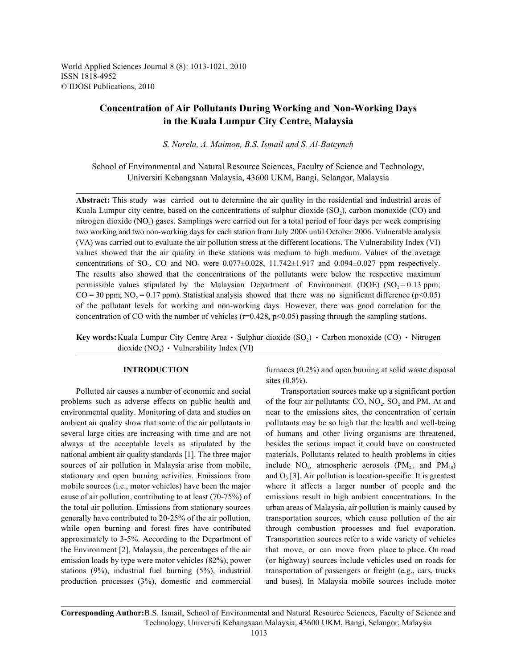World Applied Sciences Journal 8 (8): 1013-1021, 2010 ISSN 1818-4952 © IDOSI Publications, 2010

# **Concentration of Air Pollutants During Working and Non-Working Days in the Kuala Lumpur City Centre, Malaysia**

*S. Norela, A. Maimon, B.S. Ismail and S. Al-Bateyneh*

School of Environmental and Natural Resource Sciences, Faculty of Science and Technology, Universiti Kebangsaan Malaysia, 43600 UKM, Bangi, Selangor, Malaysia

**Abstract:** This study was carried out to determine the air quality in the residential and industrial areas of Kuala Lumpur city centre, based on the concentrations of sulphur dioxide  $(SO<sub>2</sub>)$ , carbon monoxide  $(CO)$  and nitrogen dioxide (NO<sub>2</sub>) gases. Samplings were carried out for a total period of four days per week comprising two working and two non-working days for each station from July 2006 until October 2006. Vulnerable analysis (VA) was carried out to evaluate the air pollution stress at the different locations. The Vulnerability Index (VI) values showed that the air quality in these stations was medium to high medium. Values of the average concentrations of SO<sub>2</sub>, CO and NO<sub>2</sub> were 0.077 $\pm$ 0.028, 11.742 $\pm$ 1.917 and 0.094 $\pm$ 0.027 ppm respectively. The results also showed that the concentrations of the pollutants were below the respective maximum permissible values stipulated by the Malaysian Department of Environment (DOE) (SO $= 0.13$  ppm;  $CO = 30$  ppm;  $NO<sub>2</sub> = 0.17$  ppm). Statistical analysis showed that there was no significant difference ( $p<0.05$ ) of the pollutant levels for working and non-working days. However, there was good correlation for the concentration of CO with the number of vehicles  $(r=0.428, p<0.05)$  passing through the sampling stations.

**Key words:** Kuala Lumpur City Centre Area  $\cdot$  Sulphur dioxide (SO<sub>2</sub>)  $\cdot$  Carbon monoxide (CO)  $\cdot$  Nitrogen dioxide  $(NO<sub>2</sub>)$   $\cdot$  Vulnerability Index (VI)

Polluted air causes a number of economic and social Transportation sources make up a significant portion problems such as adverse effects on public health and of the four air pollutants: CO,  $NO_2$ ,  $SO_2$  and PM. At and stationary and open burning activities. Emissions from and  $O<sub>3</sub>$  [3]. Air pollution is location-specific. It is greatest the Environment [2], Malaysia, the percentages of the air that move, or can move from place to place. On road

**INTRODUCTION** furnaces (0.2%) and open burning at solid waste disposal sites (0.8%).

environmental quality. Monitoring of data and studies on near to the emissions sites, the concentration of certain ambient air quality show that some of the air pollutants in pollutants may be so high that the health and well-being several large cities are increasing with time and are not of humans and other living organisms are threatened, always at the acceptable levels as stipulated by the besides the serious impact it could have on constructed national ambient air quality standards [1]. The three major materials. Pollutants related to health problems in cities sources of air pollution in Malaysia arise from mobile, include NO<sub>2</sub>, atmospheric aerosols  $(PM_{2.5}$  and  $PM_{10}$ ) mobile sources (i.e., motor vehicles) have been the major where it affects a larger number of people and the cause of air pollution, contributing to at least (70-75%) of emissions result in high ambient concentrations. In the the total air pollution. Emissions from stationary sources urban areas of Malaysia, air pollution is mainly caused by generally have contributed to 20-25% of the air pollution, transportation sources, which cause pollution of the air while open burning and forest fires have contributed through combustion processes and fuel evaporation. approximately to 3-5%. According to the Department of Transportation sources refer to a wide variety of vehicles emission loads by type were motor vehicles (82%), power (or highway) sources include vehicles used on roads for stations (9%), industrial fuel burning (5%), industrial transportation of passengers or freight (e.g., cars, trucks production processes (3%), domestic and commercial and buses). In Malaysia mobile sources include motor

**Corresponding Author:**B.S. Ismail, School of Environmental and Natural Resource Sciences, Faculty of Science and Technology, Universiti Kebangsaan Malaysia, 43600 UKM, Bangi, Selangor, Malaysia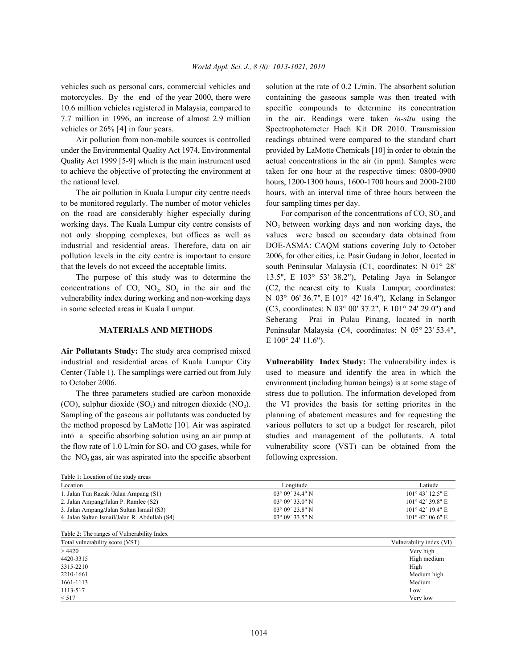under the Environmental Quality Act 1974, Environmental provided by LaMotte Chemicals [10] in order to obtain the Quality Act 1999 [5-9] which is the main instrument used actual concentrations in the air (in ppm). Samples were to achieve the objective of protecting the environment at taken for one hour at the respective times: 0800-0900 the national level. hours, 1200-1300 hours, 1600-1700 hours and 2000-2100

to be monitored regularly. The number of motor vehicles four sampling times per day. on the road are considerably higher especially during For comparison of the concentrations of  $CO$ ,  $SO_2$  and working days. The Kuala Lumpur city centre consists of  $NO<sub>2</sub>$  between working days and non working days, the not only shopping complexes, but offices as well as values were based on secondary data obtained from industrial and residential areas. Therefore, data on air DOE-ASMA: CAQM stations covering July to October pollution levels in the city centre is important to ensure 2006, for other cities, i.e. Pasir Gudang in Johor, located in that the levels do not exceed the acceptable limits. south Peninsular Malaysia (C1, coordinates: N 01° 28'

concentrations of CO,  $NO_2$ ,  $SO_2$  in the air and the (C2, the nearest city to Kuala Lumpur; coordinates: vulnerability index during working and non-working days N 03° 06' 36.7", E 101° 42' 16.4"), Kelang in Selangor in some selected areas in Kuala Lumpur. (C3, coordinates: N 03° 00' 37.2", E 101° 24' 29.0") and

**Air Pollutants Study:** The study area comprised mixed industrial and residential areas of Kuala Lumpur City **Vulnerability Index Study:** The vulnerability index is

(CO), sulphur dioxide  $(SO<sub>2</sub>)$  and nitrogen dioxide  $(NO<sub>2</sub>)$ . the VI provides the basis for setting priorites in the Sampling of the gaseous air pollutants was conducted by planning of abatement measures and for requesting the the method proposed by LaMotte [10]. Air was aspirated various polluters to set up a budget for research, pilot into a specific absorbing solution using an air pump at studies and management of the pollutants. A total the  $NO<sub>2</sub>$  gas, air was aspirated into the specific absorbent following expression.

Table 1: Location of the study areas

vehicles such as personal cars, commercial vehicles and solution at the rate of 0.2 L/min. The absorbent solution motorcycles. By the end of the year 2000, there were containing the gaseous sample was then treated with 10.6 million vehicles registered in Malaysia, compared to specific compounds to determine its concentration 7.7 million in 1996, an increase of almost 2.9 million in the air. Readings were taken *in-situ* using the vehicles or 26% [4] in four years. Spectrophotometer Hach Kit DR 2010. Transmission Air pollution from non-mobile sources is controlled readings obtained were compared to the standard chart The air pollution in Kuala Lumpur city centre needs hours, with an interval time of three hours between the

The purpose of this study was to determine the 13.5", E 103° 53' 38.2"), Petaling Jaya in Selangor **MATERIALS AND METHODS** Peninsular Malaysia (C4, coordinates: N 05° 23' 53.4", E 100° 24' 11.6"). Seberang Prai in Pulau Pinang, located in north

Center (Table 1). The samplings were carried out from July used to measure and identify the area in which the to October 2006. environment (including human beings) is at some stage of The three parameters studied are carbon monoxide stress due to pollution. The information developed from the flow rate of 1.0 L/min for SO, and CO gases, while for vulnerability score (VST) can be obtained from the

| Longitude                | Latiude                   |
|--------------------------|---------------------------|
| $03^{\circ} 09' 34.4" N$ | $101^{\circ}$ 43' 12.5" E |
| $03^{\circ} 09' 33.0" N$ | $101^{\circ}$ 42' 39.8" E |
| $03^{\circ} 09' 23.8"$ N | $101^{\circ}$ 42' 19.4" E |
| $03^{\circ} 09' 33.5" N$ | $101^{\circ}$ 42' 06.6" E |
|                          |                           |

| Table 2: The ranges of Vulnerability Index |                          |
|--------------------------------------------|--------------------------|
| Total vulnerability score (VST)            | Vulnerability index (VI) |
| >4420                                      | Very high                |
| 4420-3315                                  | High medium              |
| 3315-2210                                  | High                     |
| 2210-1661                                  | Medium high              |
| 1661-1113                                  | Medium                   |
| 1113-517                                   | Low                      |
| < 517                                      | Very low                 |
|                                            |                          |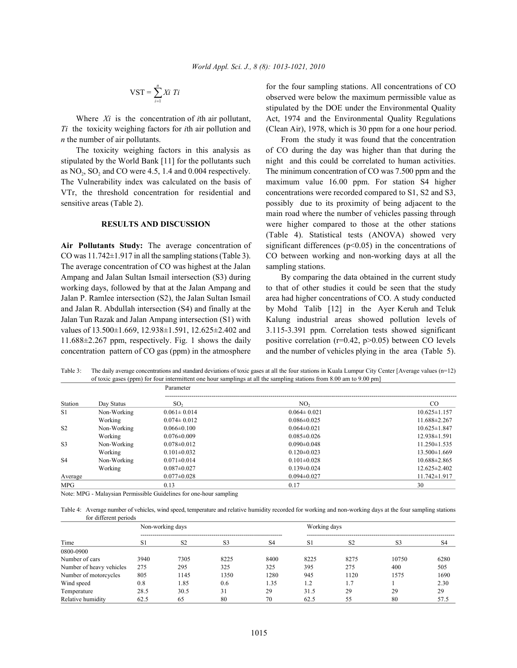$$
VST = \sum_{i=1}^{n} Xi \ Ti
$$

*Ti* the toxicity weighing factors for *i*th air pollution and (Clean Air), 1978, which is 30 ppm for a one hour period. *n* the number of air pollutants. From the study it was found that the concentration

stipulated by the World Bank [11] for the pollutants such night and this could be correlated to human activities. as  $NO<sub>2</sub>$ ,  $SO<sub>2</sub>$  and CO were 4.5, 1.4 and 0.004 respectively. The minimum concentration of CO was 7.500 ppm and the VTr, the threshold concentration for residential and concentrations were recorded compared to S1, S2 and S3, sensitive areas (Table 2). **possibly due to its proximity of being adjacent to the** 

The average concentration of CO was highest at the Jalan sampling stations. Ampang and Jalan Sultan Ismail intersection (S3) during By comparing the data obtained in the current study

for the four sampling stations. All concentrations of CO Where *Xi* is the concentration of *i*th air pollutant, Act, 1974 and the Environmental Quality Regulations observed were below the maximum permissible value as stipulated by the DOE under the Environmental Quality

The toxicity weighing factors in this analysis as of CO during the day was higher than that during the The Vulnerability index was calculated on the basis of maximum value 16.00 ppm. For station S4 higher **RESULTS AND DISCUSSION** were higher compared to those at the other stations Air Pollutants Study: The average concentration of significant differences (p<0.05) in the concentrations of CO was 11.742±1.917 in all the sampling stations (Table 3). CO between working and non-working days at all the main road where the number of vehicles passing through (Table 4). Statistical tests (ANOVA) showed very

working days, followed by that at the Jalan Ampang and to that of other studies it could be seen that the study Jalan P. Ramlee intersection (S2), the Jalan Sultan Ismail area had higher concentrations of CO. A study conducted and Jalan R. Abdullah intersection (S4) and finally at the by Mohd Talib [12] in the Ayer Keruh and Teluk Jalan Tun Razak and Jalan Ampang intersection (S1) with Kalung industrial areas showed pollution levels of values of 13.500±1.669, 12.938±1.591, 12.625±2.402 and 3.115-3.391 ppm. Correlation tests showed significant 11.688±2.267 ppm, respectively. Fig. 1 shows the daily positive correlation (r=0.42, p>0.05) between CO levels concentration pattern of CO gas (ppm) in the atmosphere and the number of vehicles plying in the area (Table 5).

Table 3: The daily average concentrations and standard deviations of toxic gases at all the four stations in Kuala Lumpur City Center [Average values (n=12) of toxic gases (ppm) for four intermittent one hour samplings at all the sampling stations from 8.00 am to 9.00 pm]

|                |             | Parameter         |                   |                    |  |  |
|----------------|-------------|-------------------|-------------------|--------------------|--|--|
| Station        | Day Status  | SO <sub>2</sub>   | NO,               | $_{\rm CO}$        |  |  |
| S1             | Non-Working | $0.061 \pm 0.014$ | $0.064 \pm 0.021$ | $10.625 \pm 1.157$ |  |  |
|                | Working     | $0.074 \pm 0.012$ | $0.086\pm0.025$   | $11.688 \pm 2.267$ |  |  |
| S <sub>2</sub> | Non-Working | $0.066 \pm 0.100$ | $0.064 \pm 0.021$ | $10.625 \pm 1.847$ |  |  |
|                | Working     | $0.076 \pm 0.009$ | $0.085 \pm 0.026$ | $12.938 \pm 1.591$ |  |  |
| S <sub>3</sub> | Non-Working | $0.078 \pm 0.012$ | $0.090 \pm 0.048$ | $11.250 \pm 1.535$ |  |  |
|                | Working     | $0.101 \pm 0.032$ | $0.120 \pm 0.023$ | $13.500 \pm 1.669$ |  |  |
| <b>S4</b>      | Non-Working | $0.071 \pm 0.014$ | $0.101 \pm 0.028$ | $10.688 \pm 2.865$ |  |  |
|                | Working     | $0.087 \pm 0.027$ | $0.139 \pm 0.024$ | $12.625 \pm 2.402$ |  |  |
| Average        |             | $0.077 \pm 0.028$ | $0.094 \pm 0.027$ | $11.742 \pm 1.917$ |  |  |
| <b>MPG</b>     |             | 0.13              | 0.17              | 30                 |  |  |

Note: MPG - Malaysian Permissible Guidelines for one-hour sampling

Table 4: Average number of vehicles, wind speed, temperature and relative humidity recorded for working and non-working days at the four sampling stations for different periods

|                          | Non-working days |                |                |                |         | Working days   |                |                |
|--------------------------|------------------|----------------|----------------|----------------|---------|----------------|----------------|----------------|
| Time                     | S1               | S <sub>2</sub> | S <sub>3</sub> | S <sub>4</sub> | S1      | S <sub>2</sub> | S <sub>3</sub> | S <sub>4</sub> |
| 0800-0900                |                  |                |                |                |         |                |                |                |
| Number of cars           | 3940             | 7305           | 8225           | 8400           | 8225    | 8275           | 10750          | 6280           |
| Number of heavy vehicles | 275              | 295            | 325            | 325            | 395     | 275            | 400            | 505            |
| Number of motorcycles    | 805              | 1145           | 1350           | 1280           | 945     | 1120           | 1575           | 1690           |
| Wind speed               | 0.8              | 1.85           | 0.6            | 1.35           | $\cdot$ |                |                | 2.30           |
| Temperature              | 28.5             | 30.5           | 31             | 29             | 31.5    | 29             | 29             | 29             |
| Relative humidity        | 62.5             | 65             | 80             | 70             | 62.5    | 55             | 80             | 57.5           |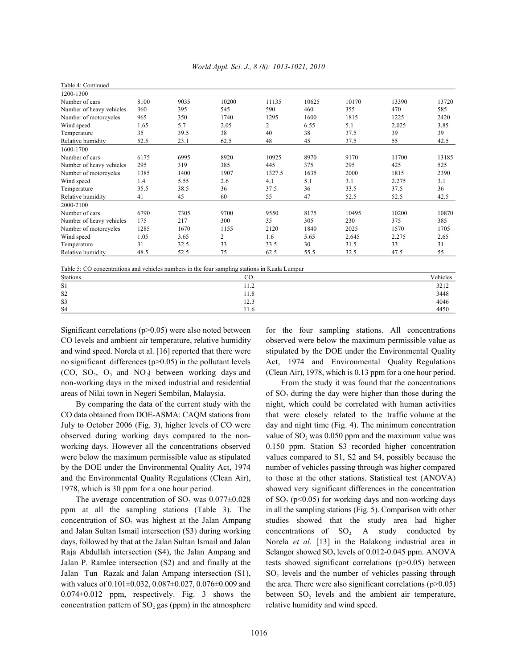| Table 4: Continued       |      |      |       |                |       |       |       |       |
|--------------------------|------|------|-------|----------------|-------|-------|-------|-------|
| 1200-1300                |      |      |       |                |       |       |       |       |
| Number of cars           | 8100 | 9035 | 10200 | 11135          | 10625 | 10170 | 13390 | 13720 |
| Number of heavy vehicles | 360  | 395  | 545   | 590            | 460   | 355   | 470   | 585   |
| Number of motorcycles    | 965  | 350  | 1740  | 1295           | 1600  | 1815  | 1225  | 2420  |
| Wind speed               | 1.65 | 5.7  | 2.05  | $\overline{2}$ | 6.55  | 5.1   | 2.025 | 3.85  |
| Temperature              | 35   | 39.5 | 38    | 40             | 38    | 37.5  | 39    | 39    |
| Relative humidity        | 52.5 | 23.1 | 62.5  | 48             | 45    | 37.5  | 55    | 42.5  |
| 1600-1700                |      |      |       |                |       |       |       |       |
| Number of cars           | 6175 | 6995 | 8920  | 10925          | 8970  | 9170  | 11700 | 13185 |
| Number of heavy vehicles | 295  | 319  | 385   | 445            | 375   | 295   | 425   | 525   |
| Number of motorcycles    | 1385 | 1400 | 1907  | 1327.5         | 1635  | 2000  | 1815  | 2390  |
| Wind speed               | 1.4  | 5.55 | 2.6   | 4,1            | 5.1   | 3.1   | 2.275 | 3.1   |
| Temperature              | 35.5 | 38.5 | 36    | 37.5           | 36    | 33.5  | 37.5  | 36    |
| Relative humidity        | 41   | 45   | 60    | 55             | 47    | 52.5  | 52.5  | 42.5  |
| 2000-2100                |      |      |       |                |       |       |       |       |
| Number of cars           | 6790 | 7305 | 9700  | 9550           | 8175  | 10495 | 10200 | 10870 |
| Number of heavy vehicles | 175  | 217  | 300   | 35             | 305   | 230   | 375   | 385   |
| Number of motorcycles    | 1285 | 1670 | 1155  | 2120           | 1840  | 2025  | 1570  | 1705  |
| Wind speed               | 1.05 | 3.65 | 2     | 1.6            | 5.65  | 2.645 | 2.275 | 2.65  |
| Temperature              | 31   | 32.5 | 33    | 33.5           | 30    | 31.5  | 33    | 31    |
| Relative humidity        | 48.5 | 52.5 | 75    | 62.5           | 55.5  | 32.5  | 47.5  | 55    |

| World Appl. Sci. J., 8 (8): 1013-1021, 2010 |  |  |  |
|---------------------------------------------|--|--|--|
|                                             |  |  |  |

Table 5: CO concentrations and vehicles numbers in the four sampling stations in Kuala Lumpur

| Stations       | oο<br>ĊÜ       | Vehicles                                            |
|----------------|----------------|-----------------------------------------------------|
| S1             | $\sim$<br>11.2 |                                                     |
| S <sub>2</sub> | 11.8           | $\begin{array}{c} 3212 \\ 3448 \\ 4046 \end{array}$ |
| S <sub>3</sub> | 12.3           |                                                     |
| S <sub>4</sub> | 11.0           | 4450                                                |

CO levels and ambient air temperature, relative humidity observed were below the maximum permissible value as and wind speed. Norela et al. [16] reported that there were stipulated by the DOE under the Environmental Quality no significant differences (p>0.05) in the pollutant levels Act, 1974 and Environmental Quality Regulations (CO, SO<sub>2</sub>, O<sub>3</sub> and NO<sub>2</sub>) between working days and (Clean Air), 1978, which is 0.13 ppm for a one hour period. non-working days in the mixed industrial and residential From the study it was found that the concentrations

CO data obtained from DOE-ASMA: CAQM stations from that were closely related to the traffic volume at the July to October 2006 (Fig. 3), higher levels of CO were day and night time (Fig. 4). The minimum concentration observed during working days compared to the non-<br>value of  $SO_2$  was 0.050 ppm and the maximum value was working days. However all the concentrations observed 0.150 ppm. Station S3 recorded higher concentration were below the maximum permissible value as stipulated values compared to S1, S2 and S4, possibly because the by the DOE under the Environmental Quality Act, 1974 number of vehicles passing through was higher compared and the Environmental Quality Regulations (Clean Air), to those at the other stations. Statistical test (ANOVA) 1978, which is 30 ppm for a one hour period. showed very significant differences in the concentration

ppm at all the sampling stations (Table 3). The in all the sampling stations (Fig. 5). Comparison with other concentration of SO, was highest at the Jalan Ampang studies showed that the study area had higher and Jalan Sultan Ismail intersection (S3) during working concentrations of  $SO_2$ . A study conducted by days, followed by that at the Jalan Sultan Ismail and Jalan Norela *et al.* [13] in the Balakong industrial area in Raja Abdullah intersection (S4), the Jalan Ampang and Selangor showed SO<sub>2</sub> levels of 0.012-0.045 ppm. ANOVA Jalan P. Ramlee intersection (S2) and and finally at the tests showed significant correlations ( $p$  $> 0.05$ ) between Jalan Tun Razak and Jalan Ampang intersection (S1),  $SO_2$  levels and the number of vehicles passing through with values of  $0.101\pm0.032$ ,  $0.087\pm0.027$ ,  $0.076\pm0.009$  and the area. There were also significant correlations (p>0.05)  $0.074 \pm 0.012$  ppm, respectively. Fig. 3 shows the between SO<sub>2</sub> levels and the ambient air temperature, concentration pattern of  $SO_2$  gas (ppm) in the atmosphere relative humidity and wind speed.

Significant correlations ( $p > 0.05$ ) were also noted between for the four sampling stations. All concentrations

areas of Nilai town in Negeri Sembilan, Malaysia.  $\qquad \qquad$  of SO<sub>2</sub> during the day were higher than those during the By comparing the data of the current study with the night, which could be correlated with human activities The average concentration of SO<sub>2</sub> was  $0.077 \pm 0.028$  of SO<sub>2</sub> (p<0.05) for working days and non-working days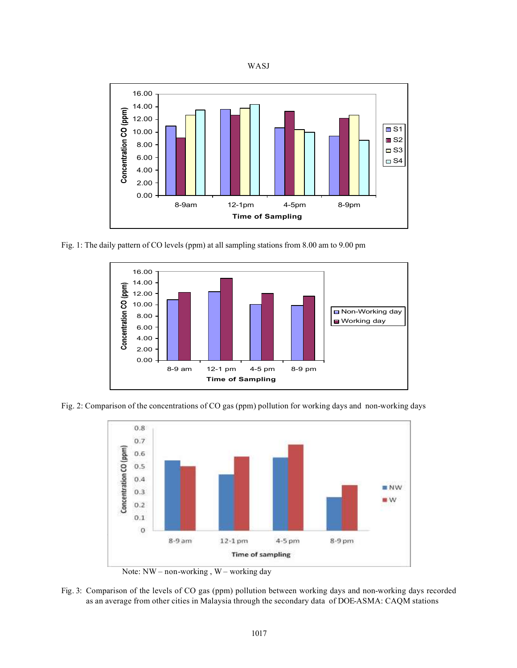



Fig. 1: The daily pattern of CO levels (ppm) at all sampling stations from 8.00 am to 9.00 pm



Fig. 2: Comparison of the concentrations of CO gas (ppm) pollution for working days and non-working days



Note: NW – non-working, W – working day

Fig. 3: Comparison of the levels of CO gas (ppm) pollution between working days and non-working days recorded as an average from other cities in Malaysia through the secondary data of DOE-ASMA: CAQM stations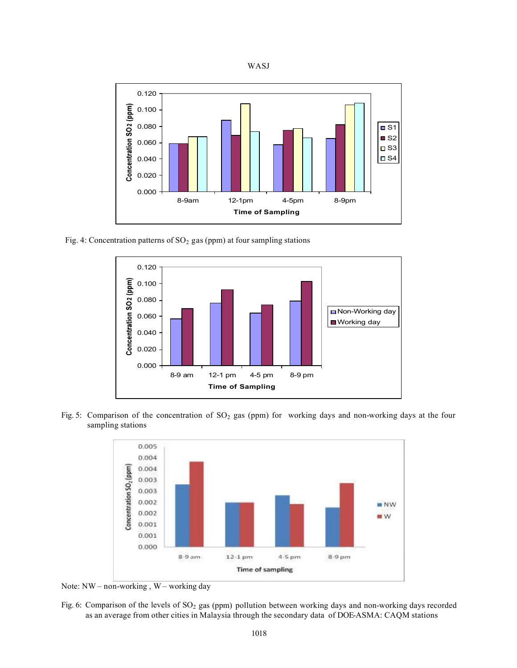



Fig. 4: Concentration patterns of  $SO<sub>2</sub>$  gas (ppm) at four sampling stations



Fig. 5: Comparison of the concentration of SO<sub>2</sub> gas (ppm) for working days and non-working days at the four sampling stations



Note: NW – non-working , W – working day

Fig. 6: Comparison of the levels of SO<sub>2</sub> gas (ppm) pollution between working days and non-working days recorded as an average from other cities in Malaysia through the secondary data of DOE-ASMA: CAQM stations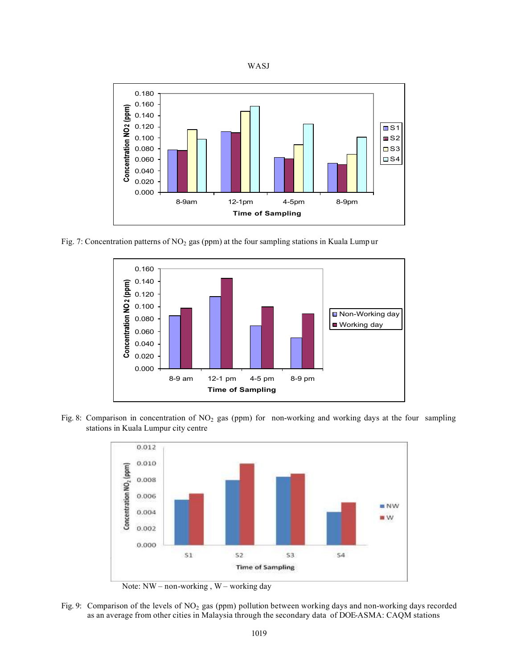



Fig. 7: Concentration patterns of  $NO<sub>2</sub>$  gas (ppm) at the four sampling stations in Kuala Lump ur



Fig. 8: Comparison in concentration of  $NO<sub>2</sub>$  gas (ppm) for non-working and working days at the four sampling stations in Kuala Lumpur city centre



Note: NW – non-working , W – working day

Fig. 9: Comparison of the levels of NO<sub>2</sub> gas (ppm) pollution between working days and non-working days recorded as an average from other cities in Malaysia through the secondary data of DOE-ASMA: CAQM stations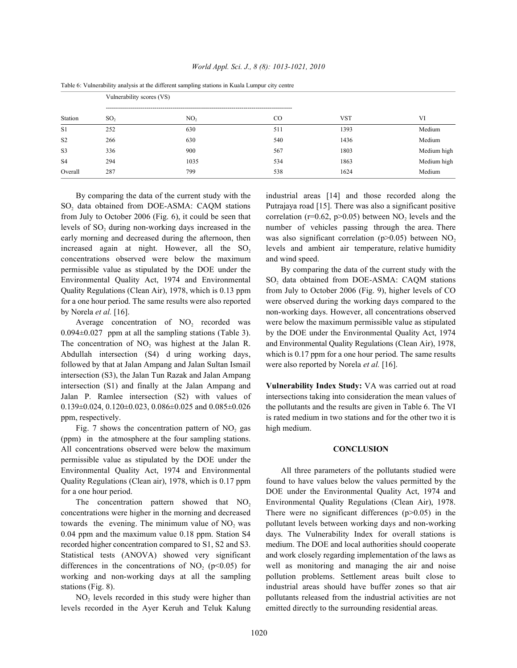|                | Tubie of a millionity analysis at the afficient sumpling sumsons in reading Ballyar eng centre<br>Vulnerability scores (VS) |                 |     |            |             |  |  |  |
|----------------|-----------------------------------------------------------------------------------------------------------------------------|-----------------|-----|------------|-------------|--|--|--|
| Station        | SO <sub>2</sub>                                                                                                             | NO <sub>2</sub> | CO. | <b>VST</b> | VI          |  |  |  |
| S1             | 252                                                                                                                         | 630             | 511 | 1393       | Medium      |  |  |  |
| S <sub>2</sub> | 266                                                                                                                         | 630             | 540 | 1436       | Medium      |  |  |  |
| S <sub>3</sub> | 336                                                                                                                         | 900             | 567 | 1803       | Medium high |  |  |  |
| S <sub>4</sub> | 294                                                                                                                         | 1035            | 534 | 1863       | Medium high |  |  |  |
| Overall        | 287                                                                                                                         | 799             | 538 | 1624       | Medium      |  |  |  |

*World Appl. Sci. J., 8 (8): 1013-1021, 2010*

Table 6: Vulnerability analysis at the different sampling stations in Kuala Lumpur city centre

 $SO<sub>2</sub>$  data obtained from DOE-ASMA: CAQM stations Putrajaya road [15]. There was also a significant positive from July to October 2006 (Fig. 6), it could be seen that correlation ( $r=0.62$ ,  $p>0.05$ ) between NO<sub>2</sub> levels and the levels of  $SO<sub>2</sub>$  during non-working days increased in the number of vehicles passing through the area. There early morning and decreased during the afternoon, then increased again at night. However, all the  $SO<sub>2</sub>$  levels and ambient air temperature, relative humidity concentrations observed were below the maximum and wind speed. permissible value as stipulated by the DOE under the By comparing the data of the current study with the Environmental Quality Act, 1974 and Environmental  $SO_2$  data obtained from DOE-ASMA: CAQM stations Quality Regulations (Clean Air), 1978, which is 0.13 ppm from July to October 2006 (Fig. 9), higher levels of CO for a one hour period. The same results were also reported were observed during the working days compared to the by Norela *et al.* [16]. non-working days. However, all concentrations observed

0.094±0.027 ppm at all the sampling stations (Table 3). by the DOE under the Environmental Quality Act, 1974 The concentration of NO, was highest at the Jalan R. and Environmental Quality Regulations (Clean Air), 1978, Abdullah intersection (S4) d uring working days, which is 0.17 ppm for a one hour period. The same results followed by that at Jalan Ampang and Jalan Sultan Ismail were also reported by Norela *et al.* [16]. intersection (S3), the Jalan Tun Razak and Jalan Ampang intersection (S1) and finally at the Jalan Ampang and **Vulnerability Index Study:** VA was carried out at road Jalan P. Ramlee intersection (S2) with values of intersections taking into consideration the mean values of  $0.139\pm0.024$ ,  $0.120\pm0.023$ ,  $0.086\pm0.025$  and  $0.085\pm0.026$  the pollutants and the results are given in Table 6. The VI

Fig. 7 shows the concentration pattern of  $NO<sub>2</sub>$  gas high medium. (ppm) in the atmosphere at the four sampling stations. All concentrations observed were below the maximum **CONCLUSION** permissible value as stipulated by the DOE under the Environmental Quality Act, 1974 and Environmental All three parameters of the pollutants studied were Quality Regulations (Clean air), 1978, which is 0.17 ppm found to have values below the values permitted by the for a one hour period. DOE under the Environmental Quality Act, 1974 and

concentrations were higher in the morning and decreased There were no significant differences  $(p>0.05)$  in the towards the evening. The minimum value of  $NO<sub>2</sub>$  was pollutant levels between working days and non-working 0.04 ppm and the maximum value 0.18 ppm. Station S4 days. The Vulnerability Index for overall stations is recorded higher concentration compared to S1, S2 and S3. medium. The DOE and local authorities should cooperate Statistical tests (ANOVA) showed very significant and work closely regarding implementation of the laws as differences in the concentrations of  $NO<sub>2</sub>$  (p<0.05) for well as monitoring and managing the air and noise working and non-working days at all the sampling pollution problems. Settlement areas built close to

levels recorded in the Ayer Keruh and Teluk Kalung emitted directly to the surrounding residential areas.

By comparing the data of the current study with the industrial areas [14] and those recorded along the was also significant correlation ( $p>0.05$ ) between NO<sub>2</sub>

Average concentration of NO<sub>2</sub> recorded was were below the maximum permissible value as stipulated

ppm, respectively. is rated medium in two stations and for the other two it is

The concentration pattern showed that NO, Environmental Quality Regulations (Clean Air), 1978. stations (Fig. 8). The stations industrial areas should have buffer zones so that air  $NO<sub>2</sub>$  levels recorded in this study were higher than pollutants released from the industrial activities are not